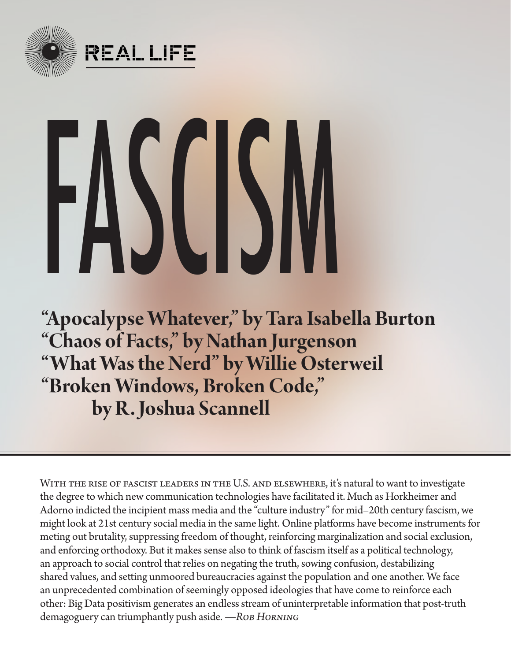

# FASCISM

**"Apocalypse Whatever," by Tara Isabella Burton "Chaos of Facts," by Nathan Jurgenson "What Was the Nerd" by Willie Osterweil "Broken Windows, Broken Code," by R. Joshua Scannell**

WITH THE RISE OF FASCIST LEADERS IN THE U.S. AND ELSEWHERE, it's natural to want to investigate the degree to which new communication technologies have facilitated it. Much as Horkheimer and Adorno indicted the incipient mass media and the "culture industry" for mid–20th century fascism, we might look at 21st century social media in the same light. Online platforms have become instruments for meting out brutality, suppressing freedom of thought, reinforcing marginalization and social exclusion, and enforcing orthodoxy. But it makes sense also to think of fascism itself as a political technology, an approach to social control that relies on negating the truth, sowing confusion, destabilizing shared values, and setting unmoored bureaucracies against the population and one another. We face an unprecedented combination of seemingly opposed ideologies that have come to reinforce each other: Big Data positivism generates an endless stream of uninterpretable information that post-truth demagoguery can triumphantly push aside. *—Rob Horning*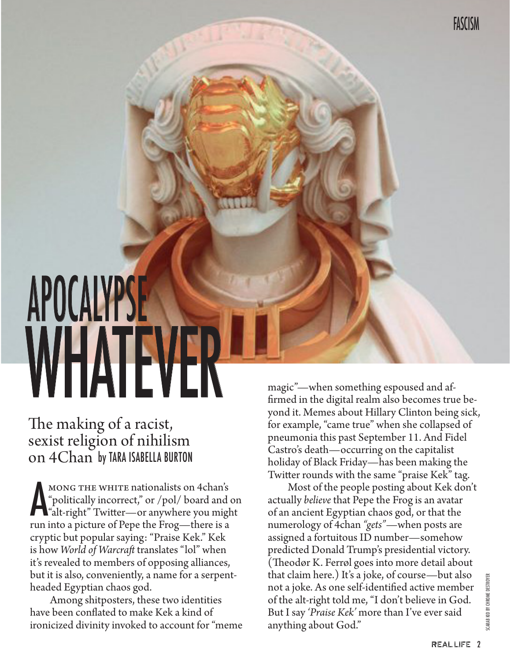# APOCALYPS **HV**

# The making of a racist, sexist religion of nihilism on 4Chan by TARA ISABELLA BURTON

MONG THE WHITE nationalists on 4chan's "politically incorrect," or /pol/ board and of "alt-right" Twitter—or anywhere you might run into a picture of Pepe the Frog—there is a mong the white nationalists on 4chan's "politically incorrect," or /pol/ board and on "alt-right" Twitter—or anywhere you might cryptic but popular saying: "Praise Kek." Kek is how *World of Warcraft* translates "lol" when it's revealed to members of opposing alliances, but it is also, conveniently, a name for a serpentheaded Egyptian chaos god.

Among shitposters, these two identities have been conflated to make Kek a kind of ironicized divinity invoked to account for "meme

magic"—when something espoused and affirmed in the digital realm also becomes true beyond it. Memes about Hillary Clinton being sick, for example, "came true" when she collapsed of pneumonia this past September 11. And Fidel Castro's death—occurring on the capitalist holiday of Black Friday—has been making the Twitter rounds with the same "praise Kek" tag.

Most of the people posting about Kek don't actually *believe* that Pepe the Frog is an avatar of an ancient Egyptian chaos god, or that the numerology of 4chan *"gets"*—when posts are assigned a fortuitous ID number—somehow predicted Donald Trump's presidential victory. (Theodør K. Ferrøl goes into more detail about that claim here.) It's a joke, of course—but also not a joke. As one self-identified active member of the alt-right told me, "I don't believe in God. But I say *'Praise Kek'* more than I've ever said anything about God."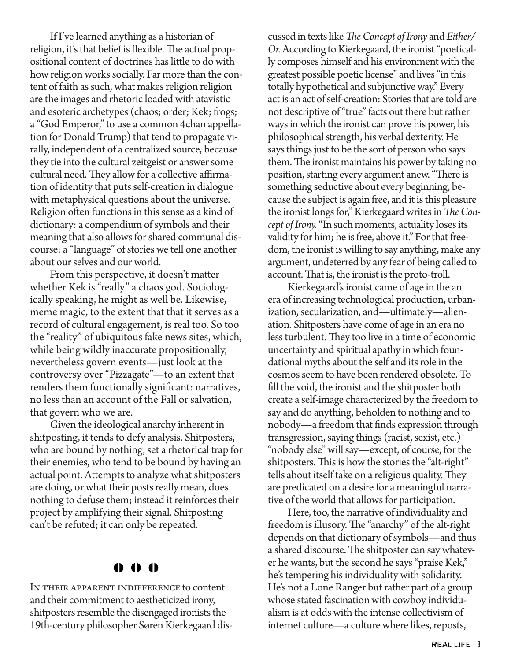If I've learned anything as a historian of religion, it's that belief is flexible. The actual propositional content of doctrines has little to do with how religion works socially. Far more than the content of faith as such, what makes religion religion are the images and rhetoric loaded with atavistic and esoteric archetypes (chaos; order; Kek; frogs; a "God Emperor," to use a common 4chan appellation for Donald Trump) that tend to propagate virally, independent of a centralized source, because they tie into the cultural zeitgeist or answer some cultural need. They allow for a collective affirmation of identity that puts self-creation in dialogue with metaphysical questions about the universe. Religion often functions in this sense as a kind of dictionary: a compendium of symbols and their meaning that also allows for shared communal discourse: a "language" of stories we tell one another about our selves and our world.

From this perspective, it doesn't matter whether Kek is "really" a chaos god. Sociologically speaking, he might as well be. Likewise, meme magic, to the extent that that it serves as a record of cultural engagement, is real too. So too the "reality" of ubiquitous fake news sites, which, while being wildly inaccurate propositionally, nevertheless govern events—just look at the controversy over "Pizzagate"—to an extent that renders them functionally significant: narratives, no less than an account of the Fall or salvation, that govern who we are.

Given the ideological anarchy inherent in shitposting, it tends to defy analysis. Shitposters, who are bound by nothing, set a rhetorical trap for their enemies, who tend to be bound by having an actual point. Attempts to analyze what shitposters are doing, or what their posts really mean, does nothing to defuse them; instead it reinforces their project by amplifying their signal. Shitposting can't be refuted; it can only be repeated.

## 00 O

In their apparent indifference to content and their commitment to aestheticized irony, shitposters resemble the disengaged ironists the 19th-century philosopher Søren Kierkegaard dis-

cussed in texts like *The Concept of Irony* and *Either/ Or.* According to Kierkegaard, the ironist "poetically composes himself and his environment with the greatest possible poetic license" and lives "in this totally hypothetical and subjunctive way." Every act is an act of self-creation: Stories that are told are not descriptive of "true" facts out there but rather ways in which the ironist can prove his power, his philosophical strength, his verbal dexterity. He says things just to be the sort of person who says them. The ironist maintains his power by taking no position, starting every argument anew. "There is something seductive about every beginning, because the subject is again free, and it is this pleasure the ironist longs for," Kierkegaard writes in *The Concept of Irony.* "In such moments, actuality loses its validity for him; he is free, above it." For that freedom, the ironist is willing to say anything, make any argument, undeterred by any fear of being called to account. That is, the ironist is the proto-troll.

Kierkegaard's ironist came of age in the an era of increasing technological production, urbanization, secularization, and—ultimately—alienation. Shitposters have come of age in an era no less turbulent. They too live in a time of economic uncertainty and spiritual apathy in which foundational myths about the self and its role in the cosmos seem to have been rendered obsolete. To fill the void, the ironist and the shitposter both create a self-image characterized by the freedom to say and do anything, beholden to nothing and to nobody—a freedom that finds expression through transgression, saying things (racist, sexist, etc.) "nobody else" will say—except, of course, for the shitposters. This is how the stories the "alt-right" tells about itself take on a religious quality. They are predicated on a desire for a meaningful narrative of the world that allows for participation.

Here, too, the narrative of individuality and freedom is illusory. The "anarchy" of the alt-right depends on that dictionary of symbols—and thus a shared discourse. The shitposter can say whatever he wants, but the second he says "praise Kek," he's tempering his individuality with solidarity. He's not a Lone Ranger but rather part of a group whose stated fascination with cowboy individualism is at odds with the intense collectivism of internet culture—a culture where likes, reposts,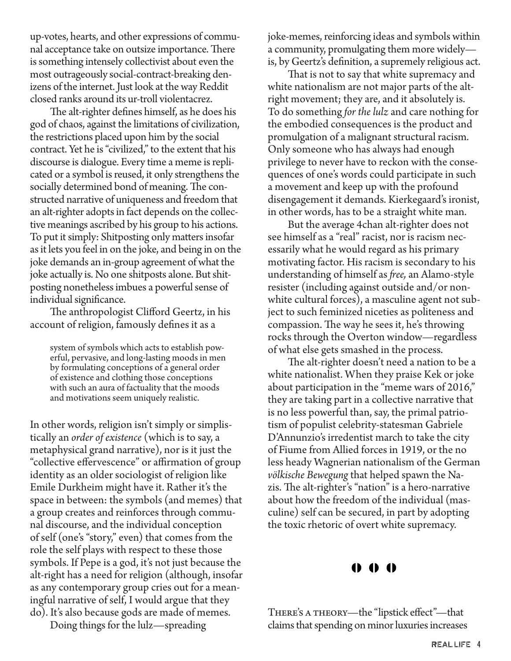up-votes, hearts, and other expressions of communal acceptance take on outsize importance. There is something intensely collectivist about even the most outrageously social-contract-breaking denizens of the internet. Just look at the way Reddit closed ranks around its ur-troll violentacrez.

The alt-righter defines himself, as he does his god of chaos, against the limitations of civilization, the restrictions placed upon him by the social contract. Yet he is "civilized," to the extent that his discourse is dialogue. Every time a meme is replicated or a symbol is reused, it only strengthens the socially determined bond of meaning. The constructed narrative of uniqueness and freedom that an alt-righter adopts in fact depends on the collective meanings ascribed by his group to his actions. To put it simply: Shitposting only matters insofar as it lets you feel in on the joke, and being in on the joke demands an in-group agreement of what the joke actually is. No one shitposts alone. But shitposting nonetheless imbues a powerful sense of individual significance.

The anthropologist Clifford Geertz, in his account of religion, famously defines it as a

system of symbols which acts to establish powerful, pervasive, and long-lasting moods in men by formulating conceptions of a general order of existence and clothing those conceptions with such an aura of factuality that the moods and motivations seem uniquely realistic.

In other words, religion isn't simply or simplistically an *order of existence* (which is to say, a metaphysical grand narrative), nor is it just the "collective effervescence" or affirmation of group identity as an older sociologist of religion like Emile Durkheim might have it. Rather it's the space in between: the symbols (and memes) that a group creates and reinforces through communal discourse, and the individual conception of self (one's "story," even) that comes from the role the self plays with respect to these those symbols. If Pepe is a god, it's not just because the alt-right has a need for religion (although, insofar as any contemporary group cries out for a meaningful narrative of self, I would argue that they do). It's also because gods are made of memes.

Doing things for the lulz—spreading

joke-memes, reinforcing ideas and symbols within a community, promulgating them more widely is, by Geertz's definition, a supremely religious act.

That is not to say that white supremacy and white nationalism are not major parts of the altright movement; they are, and it absolutely is. To do something *for the lulz* and care nothing for the embodied consequences is the product and promulgation of a malignant structural racism. Only someone who has always had enough privilege to never have to reckon with the consequences of one's words could participate in such a movement and keep up with the profound disengagement it demands. Kierkegaard's ironist, in other words, has to be a straight white man.

But the average 4chan alt-righter does not see himself as a "real" racist, nor is racism necessarily what he would regard as his primary motivating factor. His racism is secondary to his understanding of himself as *free,* an Alamo-style resister (including against outside and/or nonwhite cultural forces), a masculine agent not subject to such feminized niceties as politeness and compassion. The way he sees it, he's throwing rocks through the Overton window—regardless of what else gets smashed in the process.

The alt-righter doesn't need a nation to be a white nationalist. When they praise Kek or joke about participation in the "meme wars of 2016," they are taking part in a collective narrative that is no less powerful than, say, the primal patriotism of populist celebrity-statesman Gabriele D'Annunzio's irredentist march to take the city of Fiume from Allied forces in 1919, or the no less heady Wagnerian nationalism of the German *völkische Bewegung* that helped spawn the Nazis. The alt-righter's "nation" is a hero-narrative about how the freedom of the individual (masculine) self can be secured, in part by adopting the toxic rhetoric of overt white supremacy.

## 000

There's a theory—the "lipstick effect"—that claims that spending on minor luxuries increases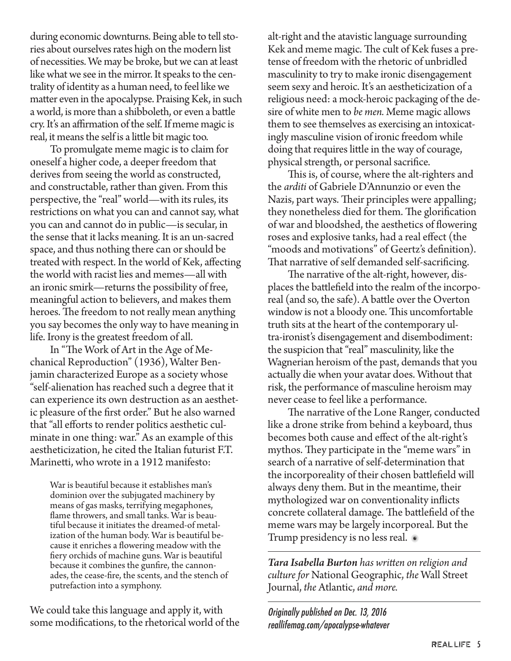during economic downturns. Being able to tell stories about ourselves rates high on the modern list of necessities. We may be broke, but we can at least like what we see in the mirror. It speaks to the centrality of identity as a human need, to feel like we matter even in the apocalypse. Praising Kek, in such a world, is more than a shibboleth, or even a battle cry. It's an affirmation of the self. If meme magic is real, it means the self is a little bit magic too.

To promulgate meme magic is to claim for oneself a higher code, a deeper freedom that derives from seeing the world as constructed, and constructable, rather than given. From this perspective, the "real" world—with its rules, its restrictions on what you can and cannot say, what you can and cannot do in public—is secular, in the sense that it lacks meaning. It is an un-sacred space, and thus nothing there can or should be treated with respect. In the world of Kek, affecting the world with racist lies and memes—all with an ironic smirk—returns the possibility of free, meaningful action to believers, and makes them heroes. The freedom to not really mean anything you say becomes the only way to have meaning in life. Irony is the greatest freedom of all.

In "The Work of Art in the Age of Mechanical Reproduction" (1936), Walter Benjamin characterized Europe as a society whose "self-alienation has reached such a degree that it can experience its own destruction as an aesthetic pleasure of the first order." But he also warned that "all efforts to render politics aesthetic culminate in one thing: war." As an example of this aestheticization, he cited the Italian futurist F.T. Marinetti, who wrote in a 1912 manifesto:

War is beautiful because it establishes man's dominion over the subjugated machinery by means of gas masks, terrifying megaphones, flame throwers, and small tanks. War is beautiful because it initiates the dreamed-of metalization of the human body. War is beautiful because it enriches a flowering meadow with the fiery orchids of machine guns. War is beautiful because it combines the gunfire, the cannonades, the cease-fire, the scents, and the stench of putrefaction into a symphony.

We could take this language and apply it, with some modifications, to the rhetorical world of the

alt-right and the atavistic language surrounding Kek and meme magic. The cult of Kek fuses a pretense of freedom with the rhetoric of unbridled masculinity to try to make ironic disengagement seem sexy and heroic. It's an aestheticization of a religious need: a mock-heroic packaging of the desire of white men to *be men.* Meme magic allows them to see themselves as exercising an intoxicatingly masculine vision of ironic freedom while doing that requires little in the way of courage, physical strength, or personal sacrifice.

This is, of course, where the alt-righters and the *arditi* of Gabriele D'Annunzio or even the Nazis, part ways. Their principles were appalling; they nonetheless died for them. The glorification of war and bloodshed, the aesthetics of flowering roses and explosive tanks, had a real effect (the "moods and motivations" of Geertz's definition). That narrative of self demanded self-sacrificing.

The narrative of the alt-right, however, displaces the battlefield into the realm of the incorporeal (and so, the safe). A battle over the Overton window is not a bloody one. This uncomfortable truth sits at the heart of the contemporary ultra-ironist's disengagement and disembodiment: the suspicion that "real" masculinity, like the Wagnerian heroism of the past, demands that you actually die when your avatar does. Without that risk, the performance of masculine heroism may never cease to feel like a performance.

The narrative of the Lone Ranger, conducted like a drone strike from behind a keyboard, thus becomes both cause and effect of the alt-right's mythos. They participate in the "meme wars" in search of a narrative of self-determination that the incorporeality of their chosen battlefield will always deny them. But in the meantime, their mythologized war on conventionality inflicts concrete collateral damage. The battlefield of the meme wars may be largely incorporeal. But the Trump presidency is no less real.  $\bullet$ 

*Tara Isabella Burton has written on religion and culture for* National Geographic, *the* Wall Street Journal, *the* Atlantic, *and more.* 

Originally published on Dec. 13, 2016 reallifemag.com/apocalypse-whatever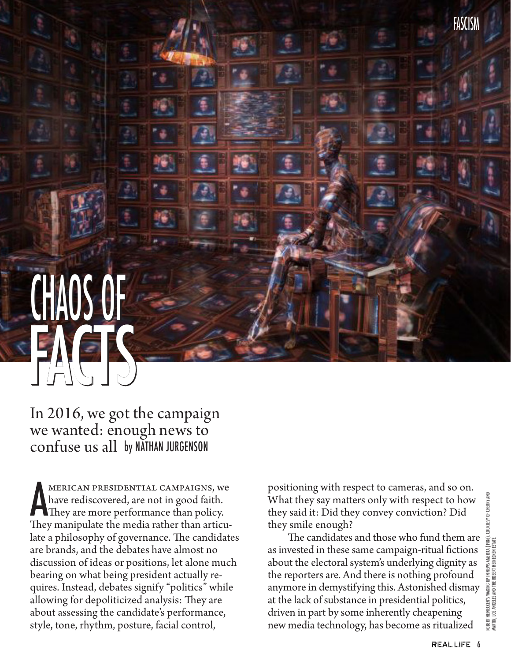# **CHAUS UF** FACTS FACTS

# In 2016, we got the campaign we wanted: enough news to confuse us all by NATHAN JURGENSON

MERICAN PRESIDENTIAL CAMPAIGNS, WORKER THEY ARE moved in a poor faith. merican presidential campaigns, we have rediscovered, are not in good faith. They manipulate the media rather than articulate a philosophy of governance. The candidates are brands, and the debates have almost no discussion of ideas or positions, let alone much bearing on what being president actually requires. Instead, debates signify "politics" while allowing for depoliticized analysis: They are about assessing the candidate's performance, style, tone, rhythm, posture, facial control,

positioning with respect to cameras, and so on. What they say matters only with respect to how they said it: Did they convey conviction? Did they smile enough?

The candidates and those who fund them are as invested in these same campaign-ritual fictions about the electoral system's underlying dignity as the reporters are. And there is nothing profound anymore in demystifying this. Astonished dismay at the lack of substance in presidential politics, driven in part by some inherently cheapening new media technology, has become as ritualized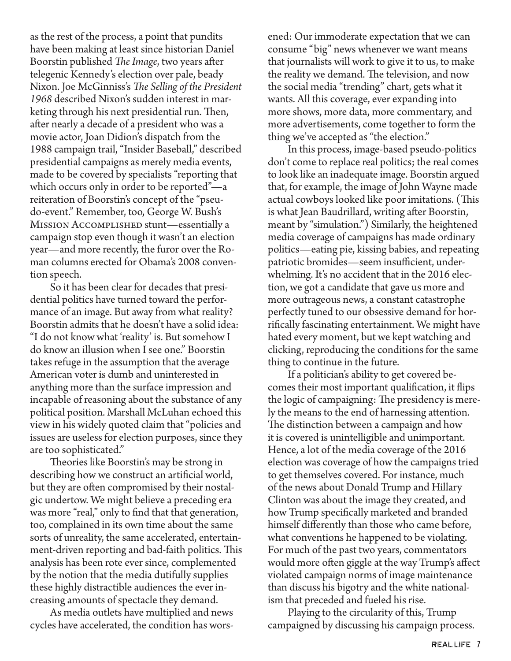as the rest of the process, a point that pundits have been making at least since historian Daniel Boorstin published *The Image*, two years after telegenic Kennedy's election over pale, beady Nixon. Joe McGinniss's *The Selling of the President 1968* described Nixon's sudden interest in marketing through his next presidential run. Then, after nearly a decade of a president who was a movie actor, Joan Didion's dispatch from the 1988 campaign trail, "Insider Baseball," described presidential campaigns as merely media events, made to be covered by specialists "reporting that which occurs only in order to be reported"—a reiteration of Boorstin's concept of the "pseudo-event." Remember, too, George W. Bush's Mission Accomplished stunt—essentially a campaign stop even though it wasn't an election year—and more recently, the furor over the Roman columns erected for Obama's 2008 convention speech.

So it has been clear for decades that presidential politics have turned toward the performance of an image. But away from what reality? Boorstin admits that he doesn't have a solid idea: "I do not know what 'reality' is. But somehow I do know an illusion when I see one." Boorstin takes refuge in the assumption that the average American voter is dumb and uninterested in anything more than the surface impression and incapable of reasoning about the substance of any political position. Marshall McLuhan echoed this view in his widely quoted claim that "policies and issues are useless for election purposes, since they are too sophisticated."

Theories like Boorstin's may be strong in describing how we construct an artificial world, but they are often compromised by their nostalgic undertow. We might believe a preceding era was more "real," only to find that that generation, too, complained in its own time about the same sorts of unreality, the same accelerated, entertainment-driven reporting and bad-faith politics. This analysis has been rote ever since, complemented by the notion that the media dutifully supplies these highly distractible audiences the ever increasing amounts of spectacle they demand.

As media outlets have multiplied and news cycles have accelerated, the condition has wors-

ened: Our immoderate expectation that we can consume "big" news whenever we want means that journalists will work to give it to us, to make the reality we demand. The television, and now the social media "trending" chart, gets what it wants. All this coverage, ever expanding into more shows, more data, more commentary, and more advertisements, come together to form the thing we've accepted as "the election."

In this process, image-based pseudo-politics don't come to replace real politics; the real comes to look like an inadequate image. Boorstin argued that, for example, the image of John Wayne made actual cowboys looked like poor imitations. (This is what Jean Baudrillard, writing after Boorstin, meant by "simulation.") Similarly, the heightened media coverage of campaigns has made ordinary politics—eating pie, kissing babies, and repeating patriotic bromides—seem insufficient, underwhelming. It's no accident that in the 2016 election, we got a candidate that gave us more and more outrageous news, a constant catastrophe perfectly tuned to our obsessive demand for horrifically fascinating entertainment. We might have hated every moment, but we kept watching and clicking, reproducing the conditions for the same thing to continue in the future.

If a politician's ability to get covered becomes their most important qualification, it flips the logic of campaigning: The presidency is merely the means to the end of harnessing attention. The distinction between a campaign and how it is covered is unintelligible and unimportant. Hence, a lot of the media coverage of the 2016 election was coverage of how the campaigns tried to get themselves covered. For instance, much of the news about Donald Trump and Hillary Clinton was about the image they created, and how Trump specifically marketed and branded himself differently than those who came before, what conventions he happened to be violating. For much of the past two years, commentators would more often giggle at the way Trump's affect violated campaign norms of image maintenance than discuss his bigotry and the white nationalism that preceded and fueled his rise.

Playing to the circularity of this, Trump campaigned by discussing his campaign process.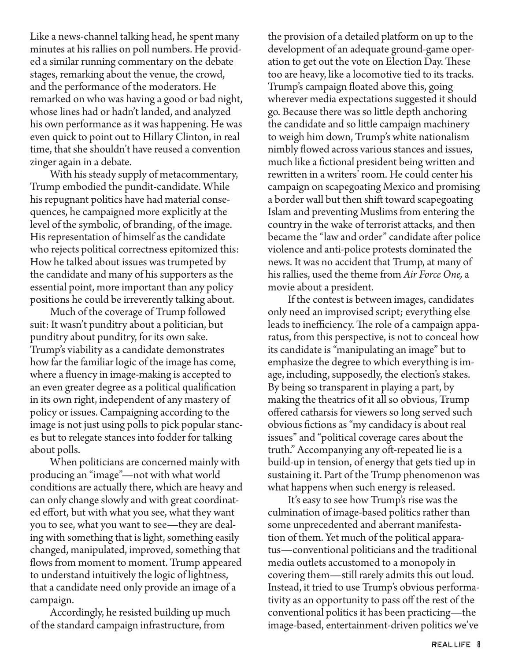Like a news-channel talking head, he spent many minutes at his rallies on poll numbers. He provided a similar running commentary on the debate stages, remarking about the venue, the crowd, and the performance of the moderators. He remarked on who was having a good or bad night, whose lines had or hadn't landed, and analyzed his own performance as it was happening. He was even quick to point out to Hillary Clinton, in real time, that she shouldn't have reused a convention zinger again in a debate.

With his steady supply of metacommentary, Trump embodied the pundit-candidate. While his repugnant politics have had material consequences, he campaigned more explicitly at the level of the symbolic, of branding, of the image. His representation of himself as the candidate who rejects political correctness epitomized this: How he talked about issues was trumpeted by the candidate and many of his supporters as the essential point, more important than any policy positions he could be irreverently talking about.

Much of the coverage of Trump followed suit: It wasn't punditry about a politician, but punditry about punditry, for its own sake. Trump's viability as a candidate demonstrates how far the familiar logic of the image has come, where a fluency in image-making is accepted to an even greater degree as a political qualification in its own right, independent of any mastery of policy or issues. Campaigning according to the image is not just using polls to pick popular stances but to relegate stances into fodder for talking about polls.

When politicians are concerned mainly with producing an "image"—not with what world conditions are actually there, which are heavy and can only change slowly and with great coordinated effort, but with what you see, what they want you to see, what you want to see—they are dealing with something that is light, something easily changed, manipulated, improved, something that flows from moment to moment. Trump appeared to understand intuitively the logic of lightness, that a candidate need only provide an image of a campaign.

Accordingly, he resisted building up much of the standard campaign infrastructure, from

the provision of a detailed platform on up to the development of an adequate ground-game operation to get out the vote on Election Day. These too are heavy, like a locomotive tied to its tracks. Trump's campaign floated above this, going wherever media expectations suggested it should go. Because there was so little depth anchoring the candidate and so little campaign machinery to weigh him down, Trump's white nationalism nimbly flowed across various stances and issues, much like a fictional president being written and rewritten in a writers' room. He could center his campaign on scapegoating Mexico and promising a border wall but then shift toward scapegoating Islam and preventing Muslims from entering the country in the wake of terrorist attacks, and then became the "law and order" candidate after police violence and anti-police protests dominated the news. It was no accident that Trump, at many of his rallies, used the theme from *Air Force One,* a movie about a president.

If the contest is between images, candidates only need an improvised script; everything else leads to inefficiency. The role of a campaign apparatus, from this perspective, is not to conceal how its candidate is "manipulating an image" but to emphasize the degree to which everything is image, including, supposedly, the election's stakes. By being so transparent in playing a part, by making the theatrics of it all so obvious, Trump offered catharsis for viewers so long served such obvious fictions as "my candidacy is about real issues" and "political coverage cares about the truth." Accompanying any oft-repeated lie is a build-up in tension, of energy that gets tied up in sustaining it. Part of the Trump phenomenon was what happens when such energy is released.

It's easy to see how Trump's rise was the culmination of image-based politics rather than some unprecedented and aberrant manifestation of them. Yet much of the political apparatus—conventional politicians and the traditional media outlets accustomed to a monopoly in covering them—still rarely admits this out loud. Instead, it tried to use Trump's obvious performativity as an opportunity to pass off the rest of the conventional politics it has been practicing—the image-based, entertainment-driven politics we've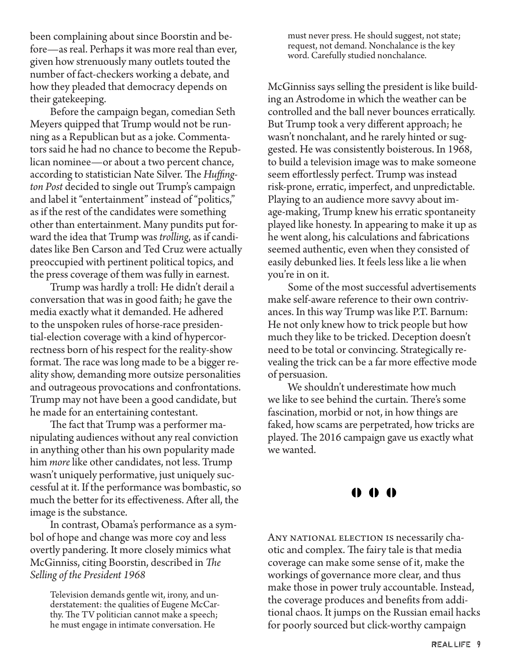been complaining about since Boorstin and before—as real. Perhaps it was more real than ever, given how strenuously many outlets touted the number of fact-checkers working a debate, and how they pleaded that democracy depends on their gatekeeping.

Before the campaign began, comedian Seth Meyers quipped that Trump would not be running as a Republican but as a joke. Commentators said he had no chance to become the Republican nominee—or about a two percent chance, according to statistician Nate Silver. The *Huffington Post* decided to single out Trump's campaign and label it "entertainment" instead of "politics," as if the rest of the candidates were something other than entertainment. Many pundits put forward the idea that Trump was *trolling*, as if candidates like Ben Carson and Ted Cruz were actually preoccupied with pertinent political topics, and the press coverage of them was fully in earnest.

Trump was hardly a troll: He didn't derail a conversation that was in good faith; he gave the media exactly what it demanded. He adhered to the unspoken rules of horse-race presidential-election coverage with a kind of hypercorrectness born of his respect for the reality-show format. The race was long made to be a bigger reality show, demanding more outsize personalities and outrageous provocations and confrontations. Trump may not have been a good candidate, but he made for an entertaining contestant.

The fact that Trump was a performer manipulating audiences without any real conviction in anything other than his own popularity made him *more* like other candidates, not less. Trump wasn't uniquely performative, just uniquely successful at it. If the performance was bombastic, so much the better for its effectiveness. After all, the image is the substance.

In contrast, Obama's performance as a symbol of hope and change was more coy and less overtly pandering. It more closely mimics what McGinniss, citing Boorstin, described in *The Selling of the President 1968*

Television demands gentle wit, irony, and understatement: the qualities of Eugene McCarthy. The TV politician cannot make a speech; he must engage in intimate conversation. He

must never press. He should suggest, not state; request, not demand. Nonchalance is the key word. Carefully studied nonchalance.

McGinniss says selling the president is like building an Astrodome in which the weather can be controlled and the ball never bounces erratically. But Trump took a very different approach; he wasn't nonchalant, and he rarely hinted or suggested. He was consistently boisterous. In 1968, to build a television image was to make someone seem effortlessly perfect. Trump was instead risk-prone, erratic, imperfect, and unpredictable. Playing to an audience more savvy about image-making, Trump knew his erratic spontaneity played like honesty. In appearing to make it up as he went along, his calculations and fabrications seemed authentic, even when they consisted of easily debunked lies. It feels less like a lie when you're in on it.

Some of the most successful advertisements make self-aware reference to their own contrivances. In this way Trump was like P.T. Barnum: He not only knew how to trick people but how much they like to be tricked. Deception doesn't need to be total or convincing. Strategically revealing the trick can be a far more effective mode of persuasion.

We shouldn't underestimate how much we like to see behind the curtain. There's some fascination, morbid or not, in how things are faked, how scams are perpetrated, how tricks are played. The 2016 campaign gave us exactly what we wanted.

#### $0<sub>0</sub>$

ANY NATIONAL ELECTION IS necessarily chaotic and complex. The fairy tale is that media coverage can make some sense of it, make the workings of governance more clear, and thus make those in power truly accountable. Instead, the coverage produces and benefits from additional chaos. It jumps on the Russian email hacks for poorly sourced but click-worthy campaign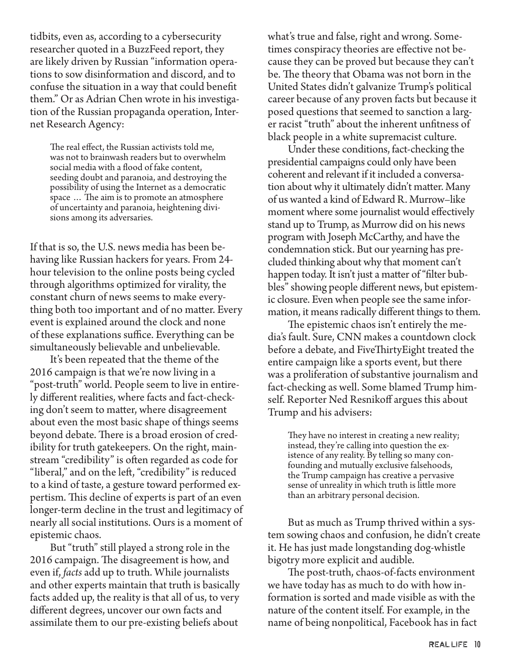tidbits, even as, according to a cybersecurity researcher quoted in a BuzzFeed report, they are likely driven by Russian "information operations to sow disinformation and discord, and to confuse the situation in a way that could benefit them." Or as Adrian Chen wrote in his investigation of the Russian propaganda operation, Internet Research Agency:

The real effect, the Russian activists told me, was not to brainwash readers but to overwhelm social media with a flood of fake content, seeding doubt and paranoia, and destroying the possibility of using the Internet as a democratic space … The aim is to promote an atmosphere of uncertainty and paranoia, heightening divisions among its adversaries.

If that is so, the U.S. news media has been behaving like Russian hackers for years. From 24 hour television to the online posts being cycled through algorithms optimized for virality, the constant churn of news seems to make everything both too important and of no matter. Every event is explained around the clock and none of these explanations suffice. Everything can be simultaneously believable and unbelievable.

It's been repeated that the theme of the 2016 campaign is that we're now living in a "post-truth" world. People seem to live in entirely different realities, where facts and fact-checking don't seem to matter, where disagreement about even the most basic shape of things seems beyond debate. There is a broad erosion of credibility for truth gatekeepers. On the right, mainstream "credibility" is often regarded as code for "liberal," and on the left, "credibility" is reduced to a kind of taste, a gesture toward performed expertism. This decline of experts is part of an even longer-term decline in the trust and legitimacy of nearly all social institutions. Ours is a moment of epistemic chaos.

But "truth" still played a strong role in the 2016 campaign. The disagreement is how, and even if, *facts* add up to truth. While journalists and other experts maintain that truth is basically facts added up, the reality is that all of us, to very different degrees, uncover our own facts and assimilate them to our pre-existing beliefs about

what's true and false, right and wrong. Sometimes conspiracy theories are effective not because they can be proved but because they can't be. The theory that Obama was not born in the United States didn't galvanize Trump's political career because of any proven facts but because it posed questions that seemed to sanction a larger racist "truth" about the inherent unfitness of black people in a white supremacist culture.

Under these conditions, fact-checking the presidential campaigns could only have been coherent and relevant if it included a conversation about why it ultimately didn't matter. Many of us wanted a kind of Edward R. Murrow–like moment where some journalist would effectively stand up to Trump, as Murrow did on his news program with Joseph McCarthy, and have the condemnation stick. But our yearning has precluded thinking about why that moment can't happen today. It isn't just a matter of "filter bubbles" showing people different news, but epistemic closure. Even when people see the same information, it means radically different things to them.

The epistemic chaos isn't entirely the media's fault. Sure, CNN makes a countdown clock before a debate, and FiveThirtyEight treated the entire campaign like a sports event, but there was a proliferation of substantive journalism and fact-checking as well. Some blamed Trump himself. Reporter Ned Resnikoff argues this about Trump and his advisers:

They have no interest in creating a new reality; instead, they're calling into question the existence of any reality. By telling so many confounding and mutually exclusive falsehoods, the Trump campaign has creative a pervasive sense of unreality in which truth is little more than an arbitrary personal decision.

But as much as Trump thrived within a system sowing chaos and confusion, he didn't create it. He has just made longstanding dog-whistle bigotry more explicit and audible.

The post-truth, chaos-of-facts environment we have today has as much to do with how information is sorted and made visible as with the nature of the content itself. For example, in the name of being nonpolitical, Facebook has in fact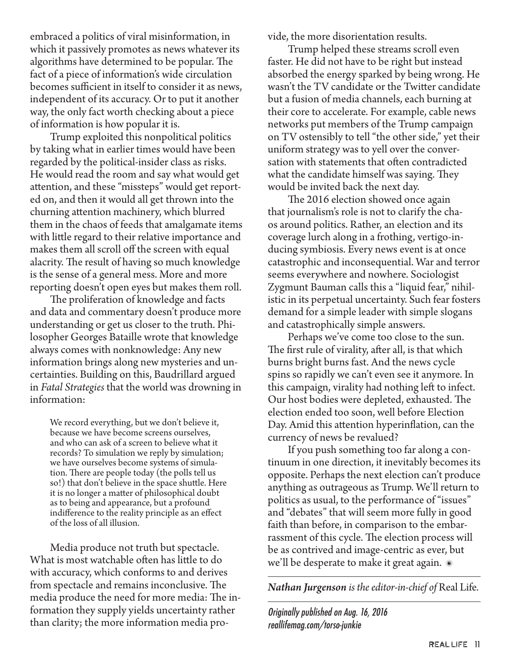embraced a politics of viral misinformation, in which it passively promotes as news whatever its algorithms have determined to be popular. The fact of a piece of information's wide circulation becomes sufficient in itself to consider it as news, independent of its accuracy. Or to put it another way, the only fact worth checking about a piece of information is how popular it is.

Trump exploited this nonpolitical politics by taking what in earlier times would have been regarded by the political-insider class as risks. He would read the room and say what would get attention, and these "missteps" would get reported on, and then it would all get thrown into the churning attention machinery, which blurred them in the chaos of feeds that amalgamate items with little regard to their relative importance and makes them all scroll off the screen with equal alacrity. The result of having so much knowledge is the sense of a general mess. More and more reporting doesn't open eyes but makes them roll.

The proliferation of knowledge and facts and data and commentary doesn't produce more understanding or get us closer to the truth. Philosopher Georges Bataille wrote that knowledge always comes with nonknowledge: Any new information brings along new mysteries and uncertainties. Building on this, Baudrillard argued in *Fatal Strategies* that the world was drowning in information:

We record everything, but we don't believe it, because we have become screens ourselves, and who can ask of a screen to believe what it records? To simulation we reply by simulation; we have ourselves become systems of simulation. There are people today (the polls tell us so!) that don't believe in the space shuttle. Here it is no longer a matter of philosophical doubt as to being and appearance, but a profound indifference to the reality principle as an effect of the loss of all illusion.

Media produce not truth but spectacle. What is most watchable often has little to do with accuracy, which conforms to and derives from spectacle and remains inconclusive. The media produce the need for more media: The information they supply yields uncertainty rather than clarity; the more information media provide, the more disorientation results.

Trump helped these streams scroll even faster. He did not have to be right but instead absorbed the energy sparked by being wrong. He wasn't the TV candidate or the Twitter candidate but a fusion of media channels, each burning at their core to accelerate. For example, cable news networks put members of the Trump campaign on TV ostensibly to tell "the other side," yet their uniform strategy was to yell over the conversation with statements that often contradicted what the candidate himself was saying. They would be invited back the next day.

The 2016 election showed once again that journalism's role is not to clarify the chaos around politics. Rather, an election and its coverage lurch along in a frothing, vertigo-inducing symbiosis. Every news event is at once catastrophic and inconsequential. War and terror seems everywhere and nowhere. Sociologist Zygmunt Bauman calls this a "liquid fear," nihilistic in its perpetual uncertainty. Such fear fosters demand for a simple leader with simple slogans and catastrophically simple answers.

Perhaps we've come too close to the sun. The first rule of virality, after all, is that which burns bright burns fast. And the news cycle spins so rapidly we can't even see it anymore. In this campaign, virality had nothing left to infect. Our host bodies were depleted, exhausted. The election ended too soon, well before Election Day. Amid this attention hyperinflation, can the currency of news be revalued?

If you push something too far along a continuum in one direction, it inevitably becomes its opposite. Perhaps the next election can't produce anything as outrageous as Trump. We'll return to politics as usual, to the performance of "issues" and "debates" that will seem more fully in good faith than before, in comparison to the embarrassment of this cycle. The election process will be as contrived and image-centric as ever, but we'll be desperate to make it great again.

*Nathan Jurgenson is the editor-in-chief of* Real Life*.*

Originally published on Aug. 16, 2016 reallifemag.com/torso-junkie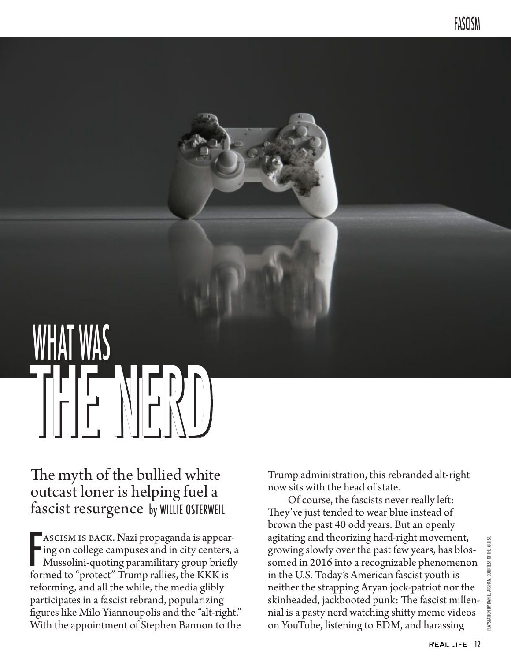# <u>WITAL WA</u>S UFIE NERD

## The myth of the bullied white outcast loner is helping fuel a fascist resurgence by WILLIE OSTERWEIL

F<br>for ascism is back. Nazi propaganda is appearing on college campuses and in city centers, a Mussolini-quoting paramilitary group briefly formed to "protect" Trump rallies, the KKK is reforming, and all the while, the media glibly participates in a fascist rebrand, popularizing figures like Milo Yiannoupolis and the "alt-right." With the appointment of Stephen Bannon to the

Trump administration, this rebranded alt-right now sits with the head of state.

Of course, the fascists never really left: They've just tended to wear blue instead of brown the past 40 odd years. But an openly agitating and theorizing hard-right movement, growing slowly over the past few years, has blossomed in 2016 into a recognizable phenomenon in the U.S. Today's American fascist youth is neither the strapping Aryan jock-patriot nor the skinheaded, jackbooted punk: The fascist millennial is a pasty nerd watching shitty meme videos on YouTube, listening to EDM, and harassing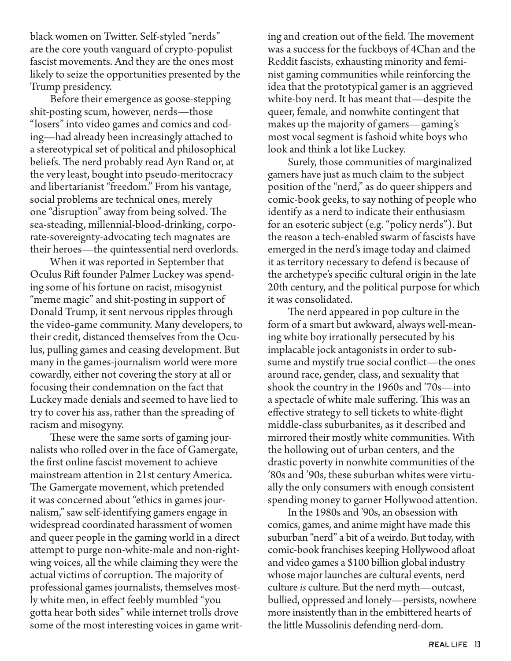black women on Twitter. Self-styled "nerds" are the core youth vanguard of crypto-populist fascist movements. And they are the ones most likely to seize the opportunities presented by the Trump presidency.

Before their emergence as goose-stepping shit-posting scum, however, nerds—those "losers" into video games and comics and coding—had already been increasingly attached to a stereotypical set of political and philosophical beliefs. The nerd probably read Ayn Rand or, at the very least, bought into pseudo-meritocracy and libertarianist "freedom." From his vantage, social problems are technical ones, merely one "disruption" away from being solved. The sea-steading, millennial-blood-drinking, corporate-sovereignty-advocating tech magnates are their heroes—the quintessential nerd overlords.

When it was reported in September that Oculus Rift founder Palmer Luckey was spending some of his fortune on racist, misogynist "meme magic" and shit-posting in support of Donald Trump, it sent nervous ripples through the video-game community. Many developers, to their credit, distanced themselves from the Oculus, pulling games and ceasing development. But many in the games-journalism world were more cowardly, either not covering the story at all or focusing their condemnation on the fact that Luckey made denials and seemed to have lied to try to cover his ass, rather than the spreading of racism and misogyny.

These were the same sorts of gaming journalists who rolled over in the face of Gamergate, the first online fascist movement to achieve mainstream attention in 21st century America. The Gamergate movement, which pretended it was concerned about "ethics in games journalism," saw self-identifying gamers engage in widespread coordinated harassment of women and queer people in the gaming world in a direct attempt to purge non-white-male and non-rightwing voices, all the while claiming they were the actual victims of corruption. The majority of professional games journalists, themselves mostly white men, in effect feebly mumbled "you gotta hear both sides" while internet trolls drove some of the most interesting voices in game writing and creation out of the field. The movement was a success for the fuckboys of 4Chan and the Reddit fascists, exhausting minority and feminist gaming communities while reinforcing the idea that the prototypical gamer is an aggrieved white-boy nerd. It has meant that—despite the queer, female, and nonwhite contingent that makes up the majority of gamers—gaming's most vocal segment is fashoid white boys who look and think a lot like Luckey.

Surely, those communities of marginalized gamers have just as much claim to the subject position of the "nerd," as do queer shippers and comic-book geeks, to say nothing of people who identify as a nerd to indicate their enthusiasm for an esoteric subject (e.g. "policy nerds"). But the reason a tech-enabled swarm of fascists have emerged in the nerd's image today and claimed it as territory necessary to defend is because of the archetype's specific cultural origin in the late 20th century, and the political purpose for which it was consolidated.

The nerd appeared in pop culture in the form of a smart but awkward, always well-meaning white boy irrationally persecuted by his implacable jock antagonists in order to subsume and mystify true social conflict—the ones around race, gender, class, and sexuality that shook the country in the 1960s and '70s—into a spectacle of white male suffering. This was an effective strategy to sell tickets to white-flight middle-class suburbanites, as it described and mirrored their mostly white communities. With the hollowing out of urban centers, and the drastic poverty in nonwhite communities of the '80s and '90s, these suburban whites were virtually the only consumers with enough consistent spending money to garner Hollywood attention.

In the 1980s and '90s, an obsession with comics, games, and anime might have made this suburban "nerd" a bit of a weirdo. But today, with comic-book franchises keeping Hollywood afloat and video games a \$100 billion global industry whose major launches are cultural events, nerd culture *is* culture. But the nerd myth—outcast, bullied, oppressed and lonely—persists, nowhere more insistently than in the embittered hearts of the little Mussolinis defending nerd-dom.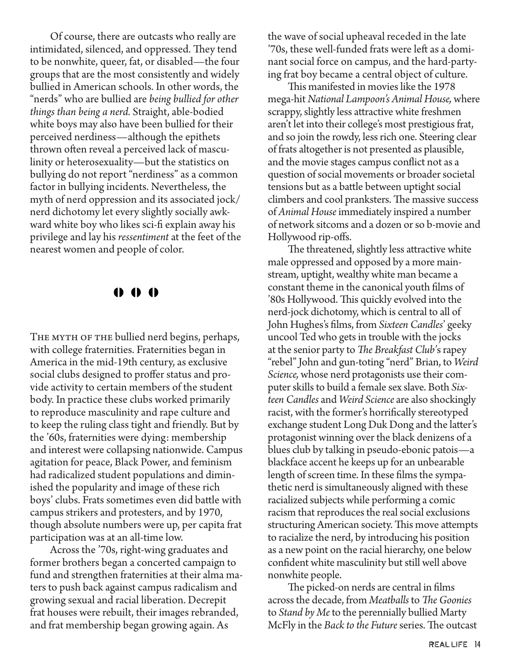Of course, there are outcasts who really are intimidated, silenced, and oppressed. They tend to be nonwhite, queer, fat, or disabled—the four groups that are the most consistently and widely bullied in American schools. In other words, the "nerds" who are bullied are *being bullied for other things than being a nerd.* Straight, able-bodied white boys may also have been bullied for their perceived nerdiness—although the epithets thrown often reveal a perceived lack of masculinity or heterosexuality—but the statistics on bullying do not report "nerdiness" as a common factor in bullying incidents. Nevertheless, the myth of nerd oppression and its associated jock/ nerd dichotomy let every slightly socially awkward white boy who likes sci-fi explain away his privilege and lay his *ressentiment* at the feet of the nearest women and people of color.

#### 000

THE MYTH OF THE bullied nerd begins, perhaps, with college fraternities. Fraternities began in America in the mid-19th century, as exclusive social clubs designed to proffer status and provide activity to certain members of the student body. In practice these clubs worked primarily to reproduce masculinity and rape culture and to keep the ruling class tight and friendly. But by the '60s, fraternities were dying: membership and interest were collapsing nationwide. Campus agitation for peace, Black Power, and feminism had radicalized student populations and diminished the popularity and image of these rich boys' clubs. Frats sometimes even did battle with campus strikers and protesters, and by 1970, though absolute numbers were up, per capita frat participation was at an all-time low.

Across the '70s, right-wing graduates and former brothers began a concerted campaign to fund and strengthen fraternities at their alma maters to push back against campus radicalism and growing sexual and racial liberation. Decrepit frat houses were rebuilt, their images rebranded, and frat membership began growing again. As

the wave of social upheaval receded in the late '70s, these well-funded frats were left as a dominant social force on campus, and the hard-partying frat boy became a central object of culture.

This manifested in movies like the 1978 mega-hit *National Lampoon's Animal House,* where scrappy, slightly less attractive white freshmen aren't let into their college's most prestigious frat, and so join the rowdy, less rich one. Steering clear of frats altogether is not presented as plausible, and the movie stages campus conflict not as a question of social movements or broader societal tensions but as a battle between uptight social climbers and cool pranksters. The massive success of *Animal House* immediately inspired a number of network sitcoms and a dozen or so b-movie and Hollywood rip-offs.

The threatened, slightly less attractive white male oppressed and opposed by a more mainstream, uptight, wealthy white man became a constant theme in the canonical youth films of '80s Hollywood. This quickly evolved into the nerd-jock dichotomy, which is central to all of John Hughes's films, from *Sixteen Candles*' geeky uncool Ted who gets in trouble with the jocks at the senior party to *The Breakfast Club'*s rapey "rebel" John and gun-toting "nerd" Brian, to *Weird Science,* whose nerd protagonists use their computer skills to build a female sex slave. Both *Sixteen Candles* and *Weird Science* are also shockingly racist, with the former's horrifically stereotyped exchange student Long Duk Dong and the latter's protagonist winning over the black denizens of a blues club by talking in pseudo-ebonic patois—a blackface accent he keeps up for an unbearable length of screen time. In these films the sympathetic nerd is simultaneously aligned with these racialized subjects while performing a comic racism that reproduces the real social exclusions structuring American society. This move attempts to racialize the nerd, by introducing his position as a new point on the racial hierarchy, one below confident white masculinity but still well above nonwhite people.

The picked-on nerds are central in films across the decade, from *Meatballs* to *The Goonies*  to *Stand by Me* to the perennially bullied Marty McFly in the *Back to the Future* series. The outcast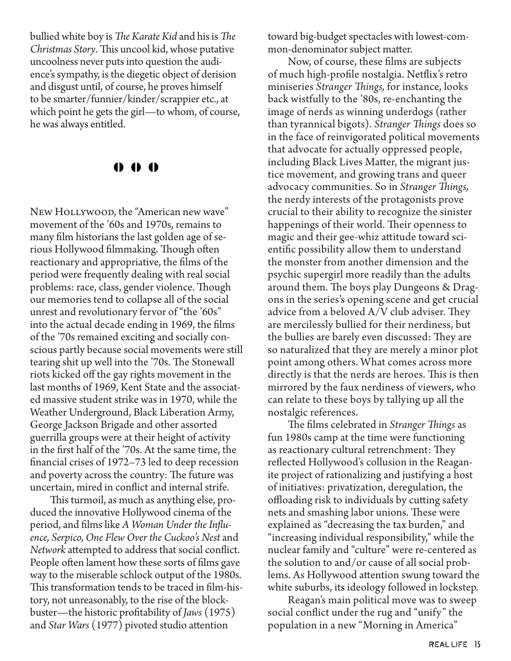bullied white boy is *The Karate Kid* and his is *The Christmas Story*. This uncool kid, whose putative uncoolness never puts into question the audience's sympathy, is the diegetic object of derision and disgust until, of course, he proves himself to be smarter/funnier/kinder/scrappier etc., at which point he gets the girl—to whom, of course, he was always entitled.

#### $000$

New Hollywood, the "American new wave" movement of the '60s and 1970s, remains to many film historians the last golden age of serious Hollywood filmmaking. Though often reactionary and appropriative, the films of the period were frequently dealing with real social problems: race, class, gender violence. Though our memories tend to collapse all of the social unrest and revolutionary fervor of "the '60s" into the actual decade ending in 1969, the films of the '70s remained exciting and socially conscious partly because social movements were still tearing shit up well into the '70s. The Stonewall riots kicked off the gay rights movement in the last months of 1969, Kent State and the associated massive student strike was in 1970, while the Weather Underground, Black Liberation Army, George Jackson Brigade and other assorted guerrilla groups were at their height of activity in the first half of the '70s. At the same time, the financial crises of 1972–73 led to deep recession and poverty across the country: The future was uncertain, mired in conflict and internal strife.

This turmoil, as much as anything else, produced the innovative Hollywood cinema of the period, and films like *A Woman Under the Influence, Serpico, One Flew Over the Cuckoo's Nest* and *Network* attempted to address that social conflict. People often lament how these sorts of films gave way to the miserable schlock output of the 1980s. This transformation tends to be traced in film-history, not unreasonably, to the rise of the blockbuster—the historic profitability of *Jaws* (1975) and *Star Wars* (1977) pivoted studio attention

toward big-budget spectacles with lowest-common-denominator subject matter.

Now, of course, these films are subjects of much high-profile nostalgia. Netflix's retro miniseries *Stranger Things,* for instance, looks back wistfully to the '80s, re-enchanting the image of nerds as winning underdogs (rather than tyrannical bigots). *Stranger Things* does so in the face of reinvigorated political movements that advocate for actually oppressed people, including Black Lives Matter, the migrant justice movement, and growing trans and queer advocacy communities. So in *Stranger Things,*  the nerdy interests of the protagonists prove crucial to their ability to recognize the sinister happenings of their world. Their openness to magic and their gee-whiz attitude toward scientific possibility allow them to understand the monster from another dimension and the psychic supergirl more readily than the adults around them. The boys play Dungeons & Dragons in the series's opening scene and get crucial advice from a beloved A/V club adviser. They are mercilessly bullied for their nerdiness, but the bullies are barely even discussed: They are so naturalized that they are merely a minor plot point among others. What comes across more directly is that the nerds are heroes. This is then mirrored by the faux nerdiness of viewers, who can relate to these boys by tallying up all the nostalgic references.

The films celebrated in *Stranger Things* as fun 1980s camp at the time were functioning as reactionary cultural retrenchment: They reflected Hollywood's collusion in the Reaganite project of rationalizing and justifying a host of initiatives: privatization, deregulation, the offloading risk to individuals by cutting safety nets and smashing labor unions. These were explained as "decreasing the tax burden," and "increasing individual responsibility," while the nuclear family and "culture" were re-centered as the solution to and/or cause of all social problems. As Hollywood attention swung toward the white suburbs, its ideology followed in lockstep.

Reagan's main political move was to sweep social conflict under the rug and "unify" the population in a new "Morning in America"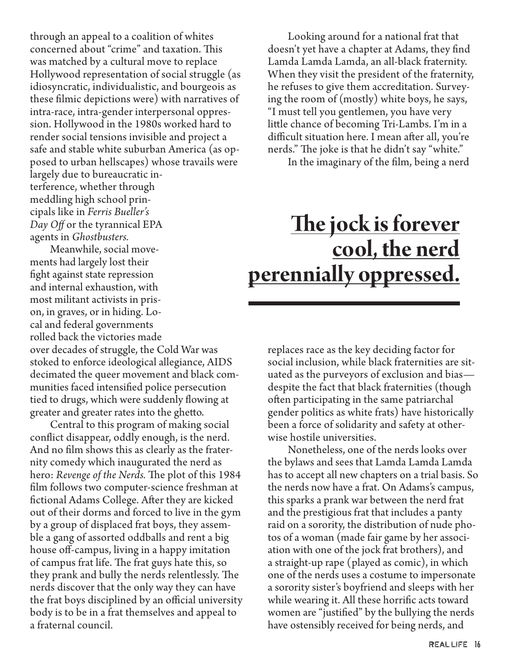through an appeal to a coalition of whites concerned about "crime" and taxation. This was matched by a cultural move to replace Hollywood representation of social struggle (as idiosyncratic, individualistic, and bourgeois as these filmic depictions were) with narratives of intra-race, intra-gender interpersonal oppression. Hollywood in the 1980s worked hard to render social tensions invisible and project a safe and stable white suburban America (as opposed to urban hellscapes) whose travails were largely due to bureaucratic interference, whether through meddling high school principals like in *Ferris Bueller's Day Off* or the tyrannical EPA agents in *Ghostbusters.*

Meanwhile, social movements had largely lost their fight against state repression and internal exhaustion, with most militant activists in prison, in graves, or in hiding. Local and federal governments rolled back the victories made over decades of struggle, the Cold War was stoked to enforce ideological allegiance, AIDS decimated the queer movement and black communities faced intensified police persecution tied to drugs, which were suddenly flowing at greater and greater rates into the ghetto.

Central to this program of making social conflict disappear, oddly enough, is the nerd. And no film shows this as clearly as the fraternity comedy which inaugurated the nerd as hero: *Revenge of the Nerds.* The plot of this 1984 film follows two computer-science freshman at fictional Adams College. After they are kicked out of their dorms and forced to live in the gym by a group of displaced frat boys, they assemble a gang of assorted oddballs and rent a big house off-campus, living in a happy imitation of campus frat life. The frat guys hate this, so they prank and bully the nerds relentlessly. The nerds discover that the only way they can have the frat boys disciplined by an official university body is to be in a frat themselves and appeal to a fraternal council.

Looking around for a national frat that doesn't yet have a chapter at Adams, they find Lamda Lamda Lamda, an all-black fraternity. When they visit the president of the fraternity, he refuses to give them accreditation. Surveying the room of (mostly) white boys, he says, "I must tell you gentlemen, you have very little chance of becoming Tri-Lambs. I'm in a difficult situation here. I mean after all, you're nerds." The joke is that he didn't say "white."

In the imaginary of the film, being a nerd

# **The jock is forever**  cool, the nerd **perennially oppressed.**

replaces race as the key deciding factor for social inclusion, while black fraternities are situated as the purveyors of exclusion and bias despite the fact that black fraternities (though often participating in the same patriarchal gender politics as white frats) have historically been a force of solidarity and safety at otherwise hostile universities.

Nonetheless, one of the nerds looks over the bylaws and sees that Lamda Lamda Lamda has to accept all new chapters on a trial basis. So the nerds now have a frat. On Adams's campus, this sparks a prank war between the nerd frat and the prestigious frat that includes a panty raid on a sorority, the distribution of nude photos of a woman (made fair game by her association with one of the jock frat brothers), and a straight-up rape (played as comic), in which one of the nerds uses a costume to impersonate a sorority sister's boyfriend and sleeps with her while wearing it. All these horrific acts toward women are "justified" by the bullying the nerds have ostensibly received for being nerds, and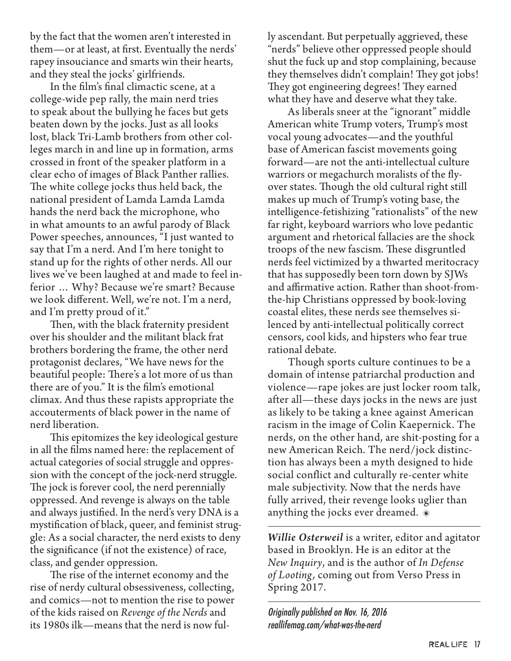by the fact that the women aren't interested in them—or at least, at first. Eventually the nerds' rapey insouciance and smarts win their hearts, and they steal the jocks' girlfriends.

In the film's final climactic scene, at a college-wide pep rally, the main nerd tries to speak about the bullying he faces but gets beaten down by the jocks. Just as all looks lost, black Tri-Lamb brothers from other colleges march in and line up in formation, arms crossed in front of the speaker platform in a clear echo of images of Black Panther rallies. The white college jocks thus held back, the national president of Lamda Lamda Lamda hands the nerd back the microphone, who in what amounts to an awful parody of Black Power speeches, announces, "I just wanted to say that I'm a nerd. And I'm here tonight to stand up for the rights of other nerds. All our lives we've been laughed at and made to feel inferior … Why? Because we're smart? Because we look different. Well, we're not. I'm a nerd, and I'm pretty proud of it."

Then, with the black fraternity president over his shoulder and the militant black frat brothers bordering the frame, the other nerd protagonist declares, "We have news for the beautiful people: There's a lot more of us than there are of you." It is the film's emotional climax. And thus these rapists appropriate the accouterments of black power in the name of nerd liberation.

This epitomizes the key ideological gesture in all the films named here: the replacement of actual categories of social struggle and oppression with the concept of the jock-nerd struggle. The jock is forever cool, the nerd perennially oppressed. And revenge is always on the table and always justified. In the nerd's very DNA is a mystification of black, queer, and feminist struggle: As a social character, the nerd exists to deny the significance (if not the existence) of race, class, and gender oppression.

The rise of the internet economy and the rise of nerdy cultural obsessiveness, collecting, and comics—not to mention the rise to power of the kids raised on *Revenge of the Nerds* and its 1980s ilk—means that the nerd is now fully ascendant. But perpetually aggrieved, these "nerds" believe other oppressed people should shut the fuck up and stop complaining, because they themselves didn't complain! They got jobs! They got engineering degrees! They earned what they have and deserve what they take.

As liberals sneer at the "ignorant" middle American white Trump voters, Trump's most vocal young advocates—and the youthful base of American fascist movements going forward—are not the anti-intellectual culture warriors or megachurch moralists of the flyover states. Though the old cultural right still makes up much of Trump's voting base, the intelligence-fetishizing "rationalists" of the new far right, keyboard warriors who love pedantic argument and rhetorical fallacies are the shock troops of the new fascism. These disgruntled nerds feel victimized by a thwarted meritocracy that has supposedly been torn down by SJWs and affirmative action. Rather than shoot-fromthe-hip Christians oppressed by book-loving coastal elites, these nerds see themselves silenced by anti-intellectual politically correct censors, cool kids, and hipsters who fear true rational debate.

Though sports culture continues to be a domain of intense patriarchal production and violence—rape jokes are just locker room talk, after all—these days jocks in the news are just as likely to be taking a knee against American racism in the image of Colin Kaepernick. The nerds, on the other hand, are shit-posting for a new American Reich. The nerd/jock distinction has always been a myth designed to hide social conflict and culturally re-center white male subjectivity. Now that the nerds have fully arrived, their revenge looks uglier than anything the jocks ever dreamed. .

*Willie Osterweil* is a writer, editor and agitator based in Brooklyn. He is an editor at the *New Inquiry*, and is the author of *In Defense of Looting,* coming out from Verso Press in Spring 2017.

Originally published on Nov. 16, 2016 reallifemag.com/what-was-the-nerd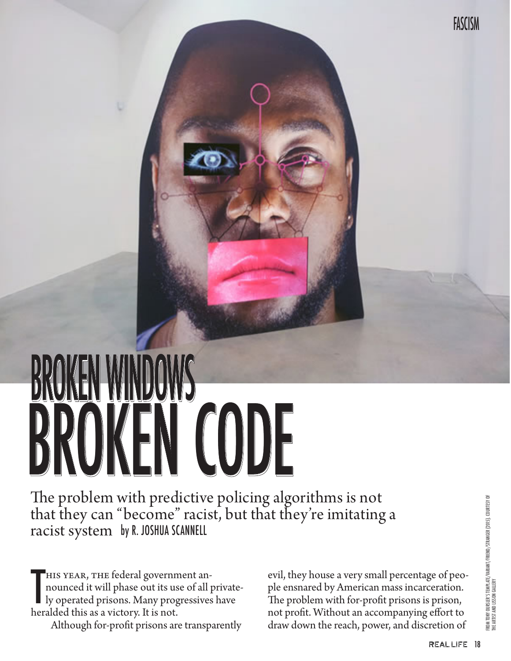# BROKEN WINDOWS BROKEN CODE BROKEN WINDOWS BROKEN CODE

The problem with predictive policing algorithms is not that they can "become" racist, but that they're imitating a racist system by R. JOSHUA SCANNELL

HIS YEAR, THE federal governm<br>nounced it will phase out its us<br>ly operated prisons. Many prog<br>heralded this as a victory. It is not. his year, the federal government announced it will phase out its use of all privately operated prisons. Many progressives have

Although for-profit prisons are transparently

evil, they house a very small percentage of people ensnared by American mass incarceration. The problem with for-profit prisons is prison, not profit. Without an accompanying effort to draw down the reach, power, and discretion of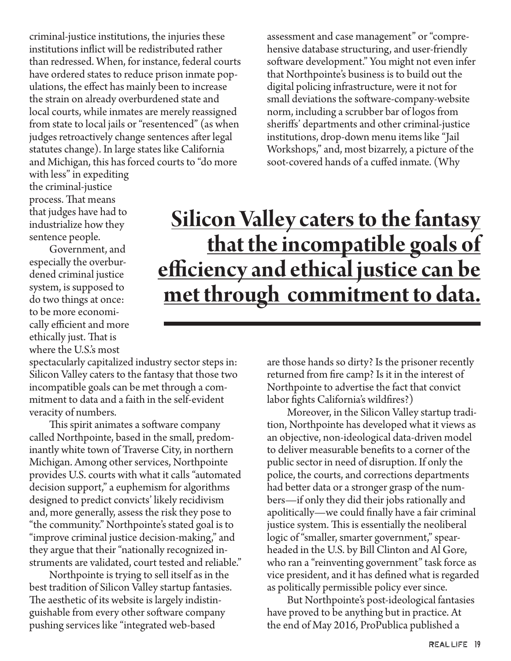criminal-justice institutions, the injuries these institutions inflict will be redistributed rather than redressed. When, for instance, federal courts have ordered states to reduce prison inmate populations, the effect has mainly been to increase the strain on already overburdened state and local courts, while inmates are merely reassigned from state to local jails or "resentenced" (as when judges retroactively change sentences after legal statutes change). In large states like California and Michigan, this has forced courts to "do more

with less" in expediting the criminal-justice process. That means that judges have had to industrialize how they sentence people.

Government, and especially the overburdened criminal justice system, is supposed to do two things at once: to be more economically efficient and more ethically just. That is where the U.S.'s most

spectacularly capitalized industry sector steps in: Silicon Valley caters to the fantasy that those two incompatible goals can be met through a commitment to data and a faith in the self-evident veracity of numbers.

This spirit animates a software company called Northpointe, based in the small, predominantly white town of Traverse City, in northern Michigan. Among other services, Northpointe provides U.S. courts with what it calls "automated decision support," a euphemism for algorithms designed to predict convicts' likely recidivism and, more generally, assess the risk they pose to "the community." Northpointe's stated goal is to "improve criminal justice decision-making," and they argue that their "nationally recognized instruments are validated, court tested and reliable."

Northpointe is trying to sell itself as in the best tradition of Silicon Valley startup fantasies. The aesthetic of its website is largely indistinguishable from every other software company pushing services like "integrated web-based

assessment and case management" or "comprehensive database structuring, and user-friendly software development." You might not even infer that Northpointe's business is to build out the digital policing infrastructure, were it not for small deviations the software-company-website norm, including a scrubber bar of logos from sheriffs' departments and other criminal-justice institutions, drop-down menu items like "Jail Workshops," and, most bizarrely, a picture of the soot-covered hands of a cuffed inmate. (Why

# **Silicon Valley caters to the fantasy that the incompatible goals of efficiency and ethical justice can be met through commitment to data.**

are those hands so dirty? Is the prisoner recently returned from fire camp? Is it in the interest of Northpointe to advertise the fact that convict labor fights California's wildfires?)

Moreover, in the Silicon Valley startup tradition, Northpointe has developed what it views as an objective, non-ideological data-driven model to deliver measurable benefits to a corner of the public sector in need of disruption. If only the police, the courts, and corrections departments had better data or a stronger grasp of the numbers—if only they did their jobs rationally and apolitically—we could finally have a fair criminal justice system. This is essentially the neoliberal logic of "smaller, smarter government," spearheaded in the U.S. by Bill Clinton and Al Gore, who ran a "reinventing government" task force as vice president, and it has defined what is regarded as politically permissible policy ever since.

But Northpointe's post-ideological fantasies have proved to be anything but in practice. At the end of May 2016, ProPublica published a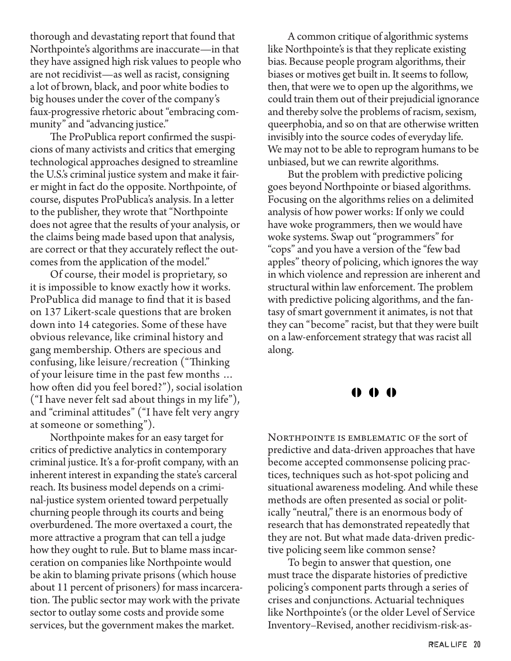thorough and devastating report that found that Northpointe's algorithms are inaccurate—in that they have assigned high risk values to people who are not recidivist—as well as racist, consigning a lot of brown, black, and poor white bodies to big houses under the cover of the company's faux-progressive rhetoric about "embracing community" and "advancing justice."

The ProPublica report confirmed the suspicions of many activists and critics that emerging technological approaches designed to streamline the U.S.'s criminal justice system and make it fairer might in fact do the opposite. Northpointe, of course, disputes ProPublica's analysis. In a letter to the publisher, they wrote that "Northpointe does not agree that the results of your analysis, or the claims being made based upon that analysis, are correct or that they accurately reflect the outcomes from the application of the model."

Of course, their model is proprietary, so it is impossible to know exactly how it works. ProPublica did manage to find that it is based on 137 Likert-scale questions that are broken down into 14 categories. Some of these have obvious relevance, like criminal history and gang membership. Others are specious and confusing, like leisure/recreation ("Thinking of your leisure time in the past few months … how often did you feel bored?"), social isolation ("I have never felt sad about things in my life"), and "criminal attitudes" ("I have felt very angry at someone or something").

Northpointe makes for an easy target for critics of predictive analytics in contemporary criminal justice. It's a for-profit company, with an inherent interest in expanding the state's carceral reach. Its business model depends on a criminal-justice system oriented toward perpetually churning people through its courts and being overburdened. The more overtaxed a court, the more attractive a program that can tell a judge how they ought to rule. But to blame mass incarceration on companies like Northpointe would be akin to blaming private prisons (which house about 11 percent of prisoners) for mass incarceration. The public sector may work with the private sector to outlay some costs and provide some services, but the government makes the market.

A common critique of algorithmic systems like Northpointe's is that they replicate existing bias. Because people program algorithms, their biases or motives get built in. It seems to follow, then, that were we to open up the algorithms, we could train them out of their prejudicial ignorance and thereby solve the problems of racism, sexism, queerphobia, and so on that are otherwise written invisibly into the source codes of everyday life. We may not to be able to reprogram humans to be unbiased, but we can rewrite algorithms.

But the problem with predictive policing goes beyond Northpointe or biased algorithms. Focusing on the algorithms relies on a delimited analysis of how power works: If only we could have woke programmers, then we would have woke systems. Swap out "programmers" for "cops" and you have a version of the "few bad apples" theory of policing, which ignores the way in which violence and repression are inherent and structural within law enforcement. The problem with predictive policing algorithms, and the fantasy of smart government it animates, is not that they can "become" racist, but that they were built on a law-enforcement strategy that was racist all along.

#### D 0

NORTHPOINTE IS EMBLEMATIC OF the sort of predictive and data-driven approaches that have become accepted commonsense policing practices, techniques such as hot-spot policing and situational awareness modeling. And while these methods are often presented as social or politically "neutral," there is an enormous body of research that has demonstrated repeatedly that they are not. But what made data-driven predictive policing seem like common sense?

To begin to answer that question, one must trace the disparate histories of predictive policing's component parts through a series of crises and conjunctions. Actuarial techniques like Northpointe's (or the older Level of Service Inventory–Revised, another recidivism-risk-as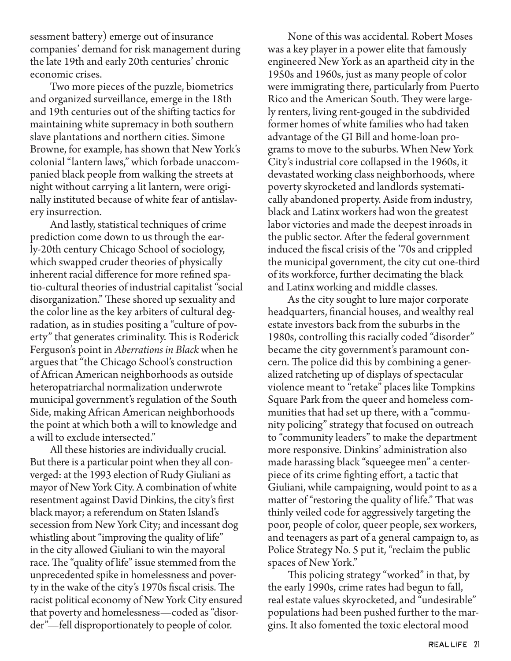sessment battery) emerge out of insurance companies' demand for risk management during the late 19th and early 20th centuries' chronic economic crises.

Two more pieces of the puzzle, biometrics and organized surveillance, emerge in the 18th and 19th centuries out of the shifting tactics for maintaining white supremacy in both southern slave plantations and northern cities. Simone Browne, for example, has shown that New York's colonial "lantern laws," which forbade unaccompanied black people from walking the streets at night without carrying a lit lantern, were originally instituted because of white fear of antislavery insurrection.

And lastly, statistical techniques of crime prediction come down to us through the early-20th century Chicago School of sociology, which swapped cruder theories of physically inherent racial difference for more refined spatio-cultural theories of industrial capitalist "social disorganization." These shored up sexuality and the color line as the key arbiters of cultural degradation, as in studies positing a "culture of poverty" that generates criminality. This is Roderick Ferguson's point in *Aberrations in Black* when he argues that "the Chicago School's construction of African American neighborhoods as outside heteropatriarchal normalization underwrote municipal government's regulation of the South Side, making African American neighborhoods the point at which both a will to knowledge and a will to exclude intersected."

All these histories are individually crucial. But there is a particular point when they all converged: at the 1993 election of Rudy Giuliani as mayor of New York City. A combination of white resentment against David Dinkins, the city's first black mayor; a referendum on Staten Island's secession from New York City; and incessant dog whistling about "improving the quality of life" in the city allowed Giuliani to win the mayoral race. The "quality of life" issue stemmed from the unprecedented spike in homelessness and poverty in the wake of the city's 1970s fiscal crisis. The racist political economy of New York City ensured that poverty and homelessness—coded as "disorder"—fell disproportionately to people of color.

None of this was accidental. Robert Moses was a key player in a power elite that famously engineered New York as an apartheid city in the 1950s and 1960s, just as many people of color were immigrating there, particularly from Puerto Rico and the American South. They were largely renters, living rent-gouged in the subdivided former homes of white families who had taken advantage of the GI Bill and home-loan programs to move to the suburbs. When New York City's industrial core collapsed in the 1960s, it devastated working class neighborhoods, where poverty skyrocketed and landlords systematically abandoned property. Aside from industry, black and Latinx workers had won the greatest labor victories and made the deepest inroads in the public sector. After the federal government induced the fiscal crisis of the '70s and crippled the municipal government, the city cut one-third of its workforce, further decimating the black and Latinx working and middle classes.

As the city sought to lure major corporate headquarters, financial houses, and wealthy real estate investors back from the suburbs in the 1980s, controlling this racially coded "disorder" became the city government's paramount concern. The police did this by combining a generalized ratcheting up of displays of spectacular violence meant to "retake" places like Tompkins Square Park from the queer and homeless communities that had set up there, with a "community policing" strategy that focused on outreach to "community leaders" to make the department more responsive. Dinkins' administration also made harassing black "squeegee men" a centerpiece of its crime fighting effort, a tactic that Giuliani, while campaigning, would point to as a matter of "restoring the quality of life." That was thinly veiled code for aggressively targeting the poor, people of color, queer people, sex workers, and teenagers as part of a general campaign to, as Police Strategy No. 5 put it, "reclaim the public spaces of New York."

This policing strategy "worked" in that, by the early 1990s, crime rates had begun to fall, real estate values skyrocketed, and "undesirable" populations had been pushed further to the margins. It also fomented the toxic electoral mood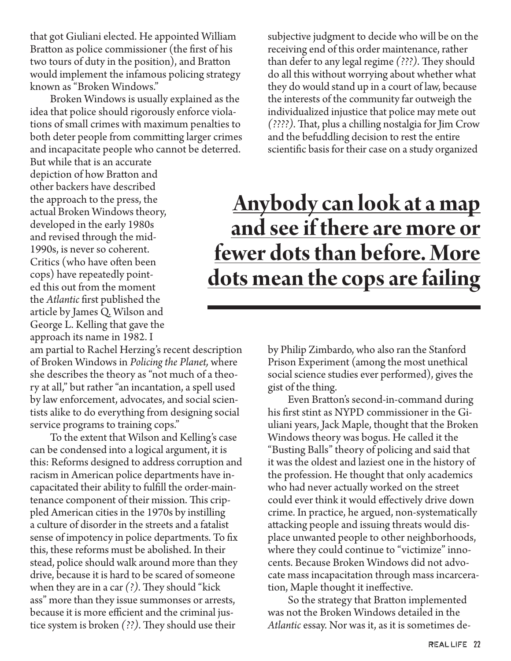that got Giuliani elected. He appointed William Bratton as police commissioner (the first of his two tours of duty in the position), and Bratton would implement the infamous policing strategy known as "Broken Windows."

Broken Windows is usually explained as the idea that police should rigorously enforce violations of small crimes with maximum penalties to both deter people from committing larger crimes and incapacitate people who cannot be deterred.

But while that is an accurate depiction of how Bratton and other backers have described the approach to the press, the actual Broken Windows theory, developed in the early 1980s and revised through the mid-1990s, is never so coherent. Critics (who have often been cops) have repeatedly pointed this out from the moment the *Atlantic* first published the article by James Q. Wilson and George L. Kelling that gave the approach its name in 1982. I

am partial to Rachel Herzing's recent description of Broken Windows in *Policing the Planet,* where she describes the theory as "not much of a theory at all," but rather "an incantation, a spell used by law enforcement, advocates, and social scientists alike to do everything from designing social service programs to training cops."

To the extent that Wilson and Kelling's case can be condensed into a logical argument, it is this: Reforms designed to address corruption and racism in American police departments have incapacitated their ability to fulfill the order-maintenance component of their mission. This crippled American cities in the 1970s by instilling a culture of disorder in the streets and a fatalist sense of impotency in police departments. To fix this, these reforms must be abolished. In their stead, police should walk around more than they drive, because it is hard to be scared of someone when they are in a car *(?)*. They should "kick ass" more than they issue summonses or arrests, because it is more efficient and the criminal justice system is broken *(??)*. They should use their

subjective judgment to decide who will be on the receiving end of this order maintenance, rather than defer to any legal regime *(???)*. They should do all this without worrying about whether what they do would stand up in a court of law, because the interests of the community far outweigh the individualized injustice that police may mete out *(????)*. That, plus a chilling nostalgia for Jim Crow and the befuddling decision to rest the entire scientific basis for their case on a study organized

# **Anybody can look at a map and see if there are more or fewer dots than before. More dots mean the cops are failing**

by Philip Zimbardo, who also ran the Stanford Prison Experiment (among the most unethical social science studies ever performed), gives the gist of the thing.

Even Bratton's second-in-command during his first stint as NYPD commissioner in the Giuliani years, Jack Maple, thought that the Broken Windows theory was bogus. He called it the "Busting Balls" theory of policing and said that it was the oldest and laziest one in the history of the profession. He thought that only academics who had never actually worked on the street could ever think it would effectively drive down crime. In practice, he argued, non-systematically attacking people and issuing threats would displace unwanted people to other neighborhoods, where they could continue to "victimize" innocents. Because Broken Windows did not advocate mass incapacitation through mass incarceration, Maple thought it ineffective.

So the strategy that Bratton implemented was not the Broken Windows detailed in the *Atlantic* essay. Nor was it, as it is sometimes de-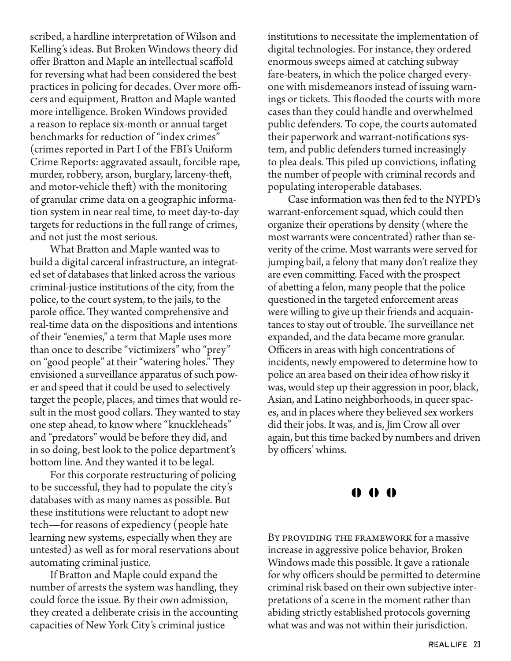scribed, a hardline interpretation of Wilson and Kelling's ideas. But Broken Windows theory did offer Bratton and Maple an intellectual scaffold for reversing what had been considered the best practices in policing for decades. Over more officers and equipment, Bratton and Maple wanted more intelligence. Broken Windows provided a reason to replace six-month or annual target benchmarks for reduction of "index crimes" (crimes reported in Part I of the FBI's Uniform Crime Reports: aggravated assault, forcible rape, murder, robbery, arson, burglary, larceny-theft, and motor-vehicle theft) with the monitoring of granular crime data on a geographic information system in near real time, to meet day-to-day targets for reductions in the full range of crimes, and not just the most serious.

What Bratton and Maple wanted was to build a digital carceral infrastructure, an integrated set of databases that linked across the various criminal-justice institutions of the city, from the police, to the court system, to the jails, to the parole office. They wanted comprehensive and real-time data on the dispositions and intentions of their "enemies," a term that Maple uses more than once to describe "victimizers" who "prey" on "good people" at their "watering holes." They envisioned a surveillance apparatus of such power and speed that it could be used to selectively target the people, places, and times that would result in the most good collars. They wanted to stay one step ahead, to know where "knuckleheads" and "predators" would be before they did, and in so doing, best look to the police department's bottom line. And they wanted it to be legal.

For this corporate restructuring of policing to be successful, they had to populate the city's databases with as many names as possible. But these institutions were reluctant to adopt new tech—for reasons of expediency (people hate learning new systems, especially when they are untested) as well as for moral reservations about automating criminal justice.

If Bratton and Maple could expand the number of arrests the system was handling, they could force the issue. By their own admission, they created a deliberate crisis in the accounting capacities of New York City's criminal justice

institutions to necessitate the implementation of digital technologies. For instance, they ordered enormous sweeps aimed at catching subway fare-beaters, in which the police charged everyone with misdemeanors instead of issuing warnings or tickets. This flooded the courts with more cases than they could handle and overwhelmed public defenders. To cope, the courts automated their paperwork and warrant-notifications system, and public defenders turned increasingly to plea deals. This piled up convictions, inflating the number of people with criminal records and populating interoperable databases.

Case information was then fed to the NYPD's warrant-enforcement squad, which could then organize their operations by density (where the most warrants were concentrated) rather than severity of the crime. Most warrants were served for jumping bail, a felony that many don't realize they are even committing. Faced with the prospect of abetting a felon, many people that the police questioned in the targeted enforcement areas were willing to give up their friends and acquaintances to stay out of trouble. The surveillance net expanded, and the data became more granular. Officers in areas with high concentrations of incidents, newly empowered to determine how to police an area based on their idea of how risky it was, would step up their aggression in poor, black, Asian, and Latino neighborhoods, in queer spaces, and in places where they believed sex workers did their jobs. It was, and is, Jim Crow all over again, but this time backed by numbers and driven by officers' whims.

#### $000$

By providing the framework for a massive increase in aggressive police behavior, Broken Windows made this possible. It gave a rationale for why officers should be permitted to determine criminal risk based on their own subjective interpretations of a scene in the moment rather than abiding strictly established protocols governing what was and was not within their jurisdiction.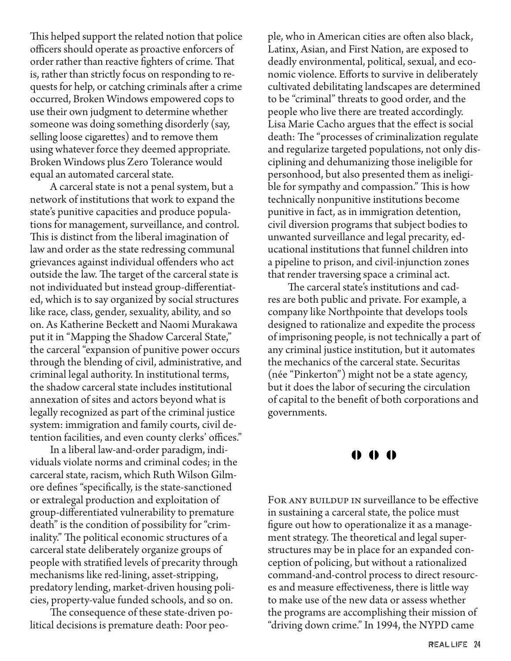This helped support the related notion that police officers should operate as proactive enforcers of order rather than reactive fighters of crime. That is, rather than strictly focus on responding to requests for help, or catching criminals after a crime occurred, Broken Windows empowered cops to use their own judgment to determine whether someone was doing something disorderly (say, selling loose cigarettes) and to remove them using whatever force they deemed appropriate. Broken Windows plus Zero Tolerance would equal an automated carceral state.

A carceral state is not a penal system, but a network of institutions that work to expand the state's punitive capacities and produce populations for management, surveillance, and control. This is distinct from the liberal imagination of law and order as the state redressing communal grievances against individual offenders who act outside the law. The target of the carceral state is not individuated but instead group-differentiated, which is to say organized by social structures like race, class, gender, sexuality, ability, and so on. As Katherine Beckett and Naomi Murakawa put it in "Mapping the Shadow Carceral State," the carceral "expansion of punitive power occurs through the blending of civil, administrative, and criminal legal authority. In institutional terms, the shadow carceral state includes institutional annexation of sites and actors beyond what is legally recognized as part of the criminal justice system: immigration and family courts, civil detention facilities, and even county clerks' offices."

In a liberal law-and-order paradigm, individuals violate norms and criminal codes; in the carceral state, racism, which Ruth Wilson Gilmore defines "specifically, is the state-sanctioned or extralegal production and exploitation of group-differentiated vulnerability to premature death" is the condition of possibility for "criminality." The political economic structures of a carceral state deliberately organize groups of people with stratified levels of precarity through mechanisms like red-lining, asset-stripping, predatory lending, market-driven housing policies, property-value funded schools, and so on.

The consequence of these state-driven political decisions is premature death: Poor peo-

ple, who in American cities are often also black, Latinx, Asian, and First Nation, are exposed to deadly environmental, political, sexual, and economic violence. Efforts to survive in deliberately cultivated debilitating landscapes are determined to be "criminal" threats to good order, and the people who live there are treated accordingly. Lisa Marie Cacho argues that the effect is social death: The "processes of criminalization regulate and regularize targeted populations, not only disciplining and dehumanizing those ineligible for personhood, but also presented them as ineligible for sympathy and compassion." This is how technically nonpunitive institutions become punitive in fact, as in immigration detention, civil diversion programs that subject bodies to unwanted surveillance and legal precarity, educational institutions that funnel children into a pipeline to prison, and civil-injunction zones that render traversing space a criminal act.

The carceral state's institutions and cadres are both public and private. For example, a company like Northpointe that develops tools designed to rationalize and expedite the process of imprisoning people, is not technically a part of any criminal justice institution, but it automates the mechanics of the carceral state. Securitas (née "Pinkerton") might not be a state agency, but it does the labor of securing the circulation of capital to the benefit of both corporations and governments.

#### $0<sub>0</sub>$

FOR ANY BUILDUP IN surveillance to be effective in sustaining a carceral state, the police must figure out how to operationalize it as a management strategy. The theoretical and legal superstructures may be in place for an expanded conception of policing, but without a rationalized command-and-control process to direct resources and measure effectiveness, there is little way to make use of the new data or assess whether the programs are accomplishing their mission of "driving down crime." In 1994, the NYPD came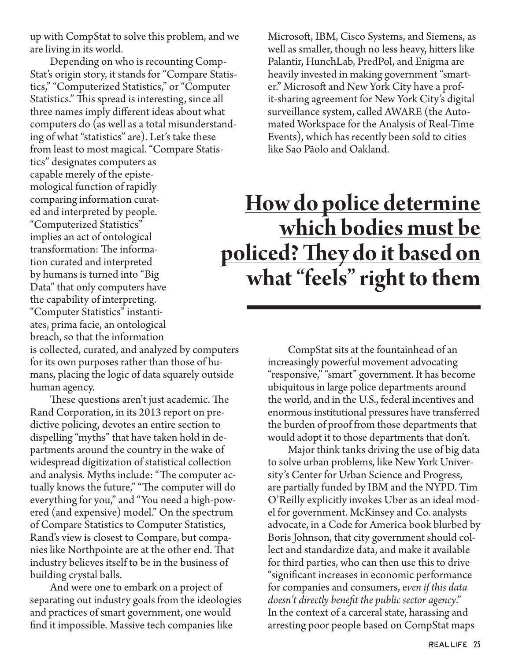up with CompStat to solve this problem, and we are living in its world.

Depending on who is recounting Comp-Stat's origin story, it stands for "Compare Statistics," "Computerized Statistics," or "Computer Statistics." This spread is interesting, since all three names imply different ideas about what computers do (as well as a total misunderstanding of what "statistics" are). Let's take these from least to most magical. "Compare Statis-

tics" designates computers as capable merely of the epistemological function of rapidly comparing information curated and interpreted by people. "Computerized Statistics" implies an act of ontological transformation: The information curated and interpreted by humans is turned into "Big Data" that only computers have the capability of interpreting. "Computer Statistics" instantiates, prima facie, an ontological breach, so that the information is collected, curated, and analyzed by computers for its own purposes rather than those of hu-

mans, placing the logic of data squarely outside human agency. These questions aren't just academic. The

Rand Corporation, in its 2013 report on predictive policing, devotes an entire section to dispelling "myths" that have taken hold in departments around the country in the wake of widespread digitization of statistical collection and analysis. Myths include: "The computer actually knows the future," "The computer will do everything for you," and "You need a high-powered (and expensive) model." On the spectrum of Compare Statistics to Computer Statistics, Rand's view is closest to Compare, but companies like Northpointe are at the other end. That industry believes itself to be in the business of building crystal balls.

And were one to embark on a project of separating out industry goals from the ideologies and practices of smart government, one would find it impossible. Massive tech companies like

Microsoft, IBM, Cisco Systems, and Siemens, as well as smaller, though no less heavy, hitters like Palantir, HunchLab, PredPol, and Enigma are heavily invested in making government "smarter." Microsoft and New York City have a profit-sharing agreement for New York City's digital surveillance system, called AWARE (the Automated Workspace for the Analysis of Real-Time Events), which has recently been sold to cities like Sao Pãolo and Oakland.

# **How do police determine which bodies must be policed? They do it based on what "feels" right to them**

CompStat sits at the fountainhead of an increasingly powerful movement advocating "responsive," "smart" government. It has become ubiquitous in large police departments around the world, and in the U.S., federal incentives and enormous institutional pressures have transferred the burden of proof from those departments that would adopt it to those departments that don't.

Major think tanks driving the use of big data to solve urban problems, like New York University's Center for Urban Science and Progress, are partially funded by IBM and the NYPD. Tim O'Reilly explicitly invokes Uber as an ideal model for government. McKinsey and Co. analysts advocate, in a Code for America book blurbed by Boris Johnson, that city government should collect and standardize data, and make it available for third parties, who can then use this to drive "significant increases in economic performance for companies and consumers, e*ven if this data doesn't directly benefit the public sector agency*." In the context of a carceral state, harassing and arresting poor people based on CompStat maps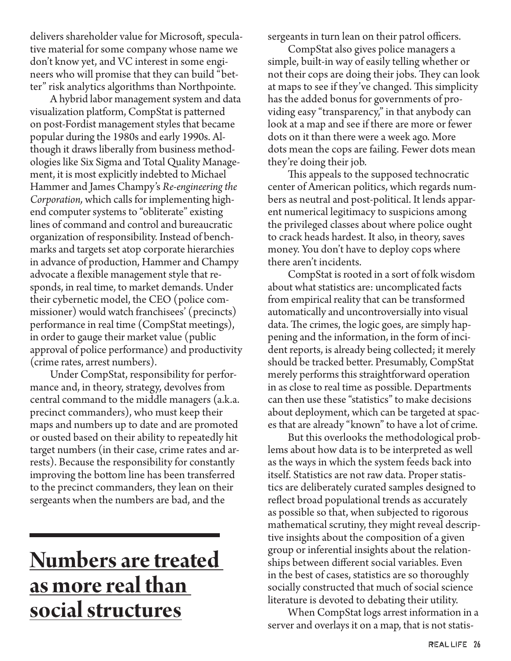delivers shareholder value for Microsoft, speculative material for some company whose name we don't know yet, and VC interest in some engineers who will promise that they can build "better" risk analytics algorithms than Northpointe.

A hybrid labor management system and data visualization platform, CompStat is patterned on post-Fordist management styles that became popular during the 1980s and early 1990s. Although it draws liberally from business methodologies like Six Sigma and Total Quality Management, it is most explicitly indebted to Michael Hammer and James Champy's *Re-engineering the Corporation,* which calls for implementing highend computer systems to "obliterate" existing lines of command and control and bureaucratic organization of responsibility. Instead of benchmarks and targets set atop corporate hierarchies in advance of production, Hammer and Champy advocate a flexible management style that responds, in real time, to market demands. Under their cybernetic model, the CEO (police commissioner) would watch franchisees' (precincts) performance in real time (CompStat meetings), in order to gauge their market value (public approval of police performance) and productivity (crime rates, arrest numbers).

Under CompStat, responsibility for performance and, in theory, strategy, devolves from central command to the middle managers (a.k.a. precinct commanders), who must keep their maps and numbers up to date and are promoted or ousted based on their ability to repeatedly hit target numbers (in their case, crime rates and arrests). Because the responsibility for constantly improving the bottom line has been transferred to the precinct commanders, they lean on their sergeants when the numbers are bad, and the

# **Numbers are treated as more real than social structures**

sergeants in turn lean on their patrol officers.

CompStat also gives police managers a simple, built-in way of easily telling whether or not their cops are doing their jobs. They can look at maps to see if they've changed. This simplicity has the added bonus for governments of providing easy "transparency," in that anybody can look at a map and see if there are more or fewer dots on it than there were a week ago. More dots mean the cops are failing. Fewer dots mean they're doing their job.

This appeals to the supposed technocratic center of American politics, which regards numbers as neutral and post-political. It lends apparent numerical legitimacy to suspicions among the privileged classes about where police ought to crack heads hardest. It also, in theory, saves money. You don't have to deploy cops where there aren't incidents.

CompStat is rooted in a sort of folk wisdom about what statistics are: uncomplicated facts from empirical reality that can be transformed automatically and uncontroversially into visual data. The crimes, the logic goes, are simply happening and the information, in the form of incident reports, is already being collected; it merely should be tracked better. Presumably, CompStat merely performs this straightforward operation in as close to real time as possible. Departments can then use these "statistics" to make decisions about deployment, which can be targeted at spaces that are already "known" to have a lot of crime.

But this overlooks the methodological problems about how data is to be interpreted as well as the ways in which the system feeds back into itself. Statistics are not raw data. Proper statistics are deliberately curated samples designed to reflect broad populational trends as accurately as possible so that, when subjected to rigorous mathematical scrutiny, they might reveal descriptive insights about the composition of a given group or inferential insights about the relationships between different social variables. Even in the best of cases, statistics are so thoroughly socially constructed that much of social science literature is devoted to debating their utility.

When CompStat logs arrest information in a server and overlays it on a map, that is not statis